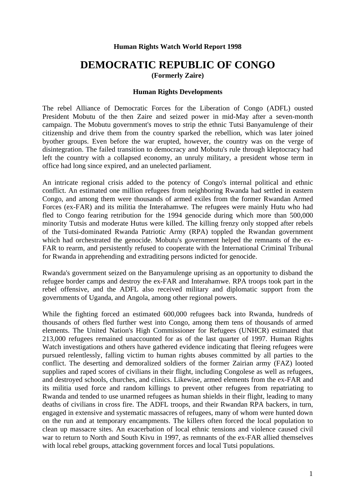#### **Human Rights Watch World Report 1998**

# **DEMOCRATIC REPUBLIC OF CONGO (Formerly Zaire)**

#### **Human Rights Developments**

The rebel Alliance of Democratic Forces for the Liberation of Congo (ADFL) ousted President Mobutu of the then Zaire and seized power in mid-May after a seven-month campaign. The Mobutu government's moves to strip the ethnic Tutsi Banyamulenge of their citizenship and drive them from the country sparked the rebellion, which was later joined byother groups. Even before the war erupted, however, the country was on the verge of disintegration. The failed transition to democracy and Mobutu's rule through kleptocracy had left the country with a collapsed economy, an unruly military, a president whose term in office had long since expired, and an unelected parliament.

An intricate regional crisis added to the potency of Congo's internal political and ethnic conflict. An estimated one million refugees from neighboring Rwanda had settled in eastern Congo, and among them were thousands of armed exiles from the former Rwandan Armed Forces (ex-FAR) and its militia the Interahamwe. The refugees were mainly Hutu who had fled to Congo fearing retribution for the 1994 genocide during which more than 500,000 minority Tutsis and moderate Hutus were killed. The killing frenzy only stopped after rebels of the Tutsi-dominated Rwanda Patriotic Army (RPA) toppled the Rwandan government which had orchestrated the genocide. Mobutu's government helped the remnants of the ex-FAR to rearm, and persistently refused to cooperate with the International Criminal Tribunal for Rwanda in apprehending and extraditing persons indicted for genocide.

Rwanda's government seized on the Banyamulenge uprising as an opportunity to disband the refugee border camps and destroy the ex-FAR and Interahamwe. RPA troops took part in the rebel offensive, and the ADFL also received military and diplomatic support from the governments of Uganda, and Angola, among other regional powers.

While the fighting forced an estimated 600,000 refugees back into Rwanda, hundreds of thousands of others fled further west into Congo, among them tens of thousands of armed elements. The United Nation's High Commissioner for Refugees (UNHCR) estimated that 213,000 refugees remained unaccounted for as of the last quarter of 1997. Human Rights Watch investigations and others have gathered evidence indicating that fleeing refugees were pursued relentlessly, falling victim to human rights abuses committed by all parties to the conflict. The deserting and demoralized soldiers of the former Zairian army (FAZ) looted supplies and raped scores of civilians in their flight, including Congolese as well as refugees, and destroyed schools, churches, and clinics. Likewise, armed elements from the ex-FAR and its militia used force and random killings to prevent other refugees from repatriating to Rwanda and tended to use unarmed refugees as human shields in their flight, leading to many deaths of civilians in cross fire. The ADFL troops, and their Rwandan RPA backers, in turn, engaged in extensive and systematic massacres of refugees, many of whom were hunted down on the run and at temporary encampments. The killers often forced the local population to clean up massacre sites. An exacerbation of local ethnic tensions and violence caused civil war to return to North and South Kivu in 1997, as remnants of the ex-FAR allied themselves with local rebel groups, attacking government forces and local Tutsi populations.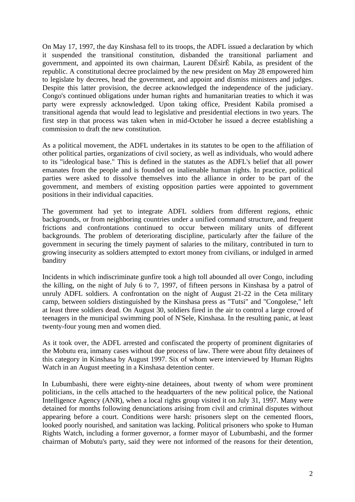On May 17, 1997, the day Kinshasa fell to its troops, the ADFL issued a declaration by which it suspended the transitional constitution, disbanded the transitional parliament and government, and appointed its own chairman, Laurent DÈsirÈ Kabila, as president of the republic. A constitutional decree proclaimed by the new president on May 28 empowered him to legislate by decrees, head the government, and appoint and dismiss ministers and judges. Despite this latter provision, the decree acknowledged the independence of the judiciary. Congo's continued obligations under human rights and humanitarian treaties to which it was party were expressly acknowledged. Upon taking office, President Kabila promised a transitional agenda that would lead to legislative and presidential elections in two years. The first step in that process was taken when in mid-October he issued a decree establishing a commission to draft the new constitution.

As a political movement, the ADFL undertakes in its statutes to be open to the affiliation of other political parties, organizations of civil society, as well as individuals, who would adhere to its "ideological base." This is defined in the statutes as the ADFL's belief that all power emanates from the people and is founded on inalienable human rights. In practice, political parties were asked to dissolve themselves into the alliance in order to be part of the government, and members of existing opposition parties were appointed to government positions in their individual capacities.

The government had yet to integrate ADFL soldiers from different regions, ethnic backgrounds, or from neighboring countries under a unified command structure, and frequent frictions and confrontations continued to occur between military units of different backgrounds. The problem of deteriorating discipline, particularly after the failure of the government in securing the timely payment of salaries to the military, contributed in turn to growing insecurity as soldiers attempted to extort money from civilians, or indulged in armed banditry

Incidents in which indiscriminate gunfire took a high toll abounded all over Congo, including the killing, on the night of July 6 to 7, 1997, of fifteen persons in Kinshasa by a patrol of unruly ADFL soldiers. A confrontation on the night of August 21-22 in the Ceta military camp, between soldiers distinguished by the Kinshasa press as "Tutsi" and "Congolese," left at least three soldiers dead. On August 30, soldiers fired in the air to control a large crowd of teenagers in the municipal swimming pool of N'Sele, Kinshasa. In the resulting panic, at least twenty-four young men and women died.

As it took over, the ADFL arrested and confiscated the property of prominent dignitaries of the Mobutu era, inmany cases without due process of law. There were about fifty detainees of this category in Kinshasa by August 1997. Six of whom were interviewed by Human Rights Watch in an August meeting in a Kinshasa detention center.

In Lubumbashi, there were eighty-nine detainees, about twenty of whom were prominent politicians, in the cells attached to the headquarters of the new political police, the National Intelligence Agency (ANR), when a local rights group visited it on July 31, 1997. Many were detained for months following denunciations arising from civil and criminal disputes without appearing before a court. Conditions were harsh: prisoners slept on the cemented floors, looked poorly nourished, and sanitation was lacking. Political prisoners who spoke to Human Rights Watch, including a former governor, a former mayor of Lubumbashi, and the former chairman of Mobutu's party, said they were not informed of the reasons for their detention,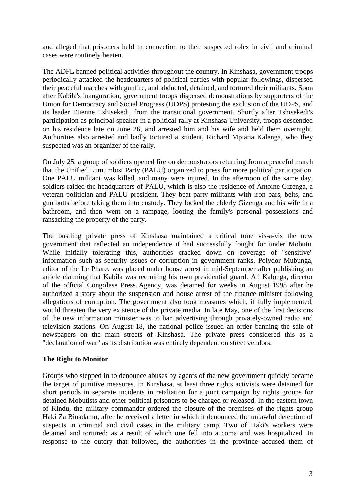and alleged that prisoners held in connection to their suspected roles in civil and criminal cases were routinely beaten.

The ADFL banned political activities throughout the country. In Kinshasa, government troops periodically attacked the headquarters of political parties with popular followings, dispersed their peaceful marches with gunfire, and abducted, detained, and tortured their militants. Soon after Kabila's inauguration, government troops dispersed demonstrations by supporters of the Union for Democracy and Social Progress (UDPS) protesting the exclusion of the UDPS, and its leader Etienne Tshisekedi, from the transitional government. Shortly after Tshisekedi's participation as principal speaker in a political rally at Kinshasa University, troops descended on his residence late on June 26, and arrested him and his wife and held them overnight. Authorities also arrested and badly tortured a student, Richard Mpiana Kalenga, who they suspected was an organizer of the rally.

On July 25, a group of soldiers opened fire on demonstrators returning from a peaceful march that the Unified Lumumbist Party (PALU) organized to press for more political participation. One PALU militant was killed, and many were injured. In the afternoon of the same day, soldiers raided the headquarters of PALU, which is also the residence of Antoine Gizenga, a veteran politician and PALU president. They beat party militants with iron bars, belts, and gun butts before taking them into custody. They locked the elderly Gizenga and his wife in a bathroom, and then went on a rampage, looting the family's personal possessions and ransacking the property of the party.

The bustling private press of Kinshasa maintained a critical tone vis-a-vis the new government that reflected an independence it had successfully fought for under Mobutu. While initially tolerating this, authorities cracked down on coverage of "sensitive" information such as security issues or corruption in government ranks. Polydor Mubunga, editor of the Le Phare, was placed under house arrest in mid-September after publishing an article claiming that Kabila was recruiting his own presidential guard. Ali Kalonga, director of the official Congolese Press Agency, was detained for weeks in August 1998 after he authorized a story about the suspension and house arrest of the finance minister following allegations of corruption. The government also took measures which, if fully implemented, would threaten the very existence of the private media. In late May, one of the first decisions of the new information minister was to ban advertising through privately-owned radio and television stations. On August 18, the national police issued an order banning the sale of newspapers on the main streets of Kinshasa. The private press considered this as a "declaration of war" as its distribution was entirely dependent on street vendors.

#### **The Right to Monitor**

Groups who stepped in to denounce abuses by agents of the new government quickly became the target of punitive measures. In Kinshasa, at least three rights activists were detained for short periods in separate incidents in retaliation for a joint campaign by rights groups for detained Mobutists and other political prisoners to be charged or released. In the eastern town of Kindu, the military commander ordered the closure of the premises of the rights group Haki Za Binadamu, after he received a letter in which it denounced the unlawful detention of suspects in criminal and civil cases in the military camp. Two of Haki's workers were detained and tortured: as a result of which one fell into a coma and was hospitalized. In response to the outcry that followed, the authorities in the province accused them of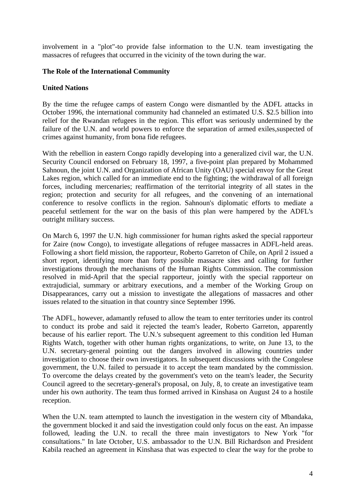involvement in a "plot"-to provide false information to the U.N. team investigating the massacres of refugees that occurred in the vicinity of the town during the war.

## **The Role of the International Community**

#### **United Nations**

By the time the refugee camps of eastern Congo were dismantled by the ADFL attacks in October 1996, the international community had channeled an estimated U.S. \$2.5 billion into relief for the Rwandan refugees in the region. This effort was seriously undermined by the failure of the U.N. and world powers to enforce the separation of armed exiles, suspected of crimes against humanity, from bona fide refugees.

With the rebellion in eastern Congo rapidly developing into a generalized civil war, the U.N. Security Council endorsed on February 18, 1997, a five-point plan prepared by Mohammed Sahnoun, the joint U.N. and Organization of African Unity (OAU) special envoy for the Great Lakes region, which called for an immediate end to the fighting; the withdrawal of all foreign forces, including mercenaries; reaffirmation of the territorial integrity of all states in the region; protection and security for all refugees, and the convening of an international conference to resolve conflicts in the region. Sahnoun's diplomatic efforts to mediate a peaceful settlement for the war on the basis of this plan were hampered by the ADFL's outright military success.

On March 6, 1997 the U.N. high commissioner for human rights asked the special rapporteur for Zaire (now Congo), to investigate allegations of refugee massacres in ADFL-held areas. Following a short field mission, the rapporteur, Roberto Garreton of Chile, on April 2 issued a short report, identifying more than forty possible massacre sites and calling for further investigations through the mechanisms of the Human Rights Commission. The commission resolved in mid-April that the special rapporteur, jointly with the special rapporteur on extrajudicial, summary or arbitrary executions, and a member of the Working Group on Disappearances, carry out a mission to investigate the allegations of massacres and other issues related to the situation in that country since September 1996.

The ADFL, however, adamantly refused to allow the team to enter territories under its control to conduct its probe and said it rejected the team's leader, Roberto Garreton, apparently because of his earlier report. The U.N.'s subsequent agreement to this condition led Human Rights Watch, together with other human rights organizations, to write, on June 13, to the U.N. secretary-general pointing out the dangers involved in allowing countries under investigation to choose their own investigators. In subsequent discussions with the Congolese government, the U.N. failed to persuade it to accept the team mandated by the commission. To overcome the delays created by the government's veto on the team's leader, the Security Council agreed to the secretary-general's proposal, on July, 8, to create an investigative team under his own authority. The team thus formed arrived in Kinshasa on August 24 to a hostile reception.

When the U.N. team attempted to launch the investigation in the western city of Mbandaka, the government blocked it and said the investigation could only focus on the east. An impasse followed, leading the U.N. to recall the three main investigators to New York "for consultations." In late October, U.S. ambassador to the U.N. Bill Richardson and President Kabila reached an agreement in Kinshasa that was expected to clear the way for the probe to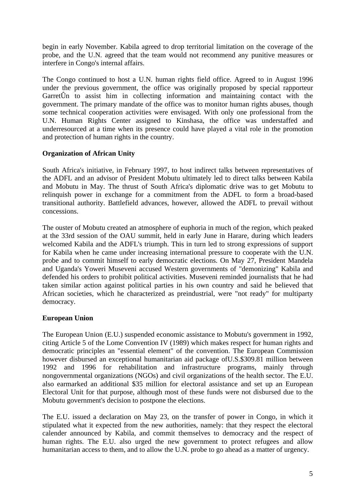begin in early November. Kabila agreed to drop territorial limitation on the coverage of the probe, and the U.N. agreed that the team would not recommend any punitive measures or interfere in Congo's internal affairs.

The Congo continued to host a U.N. human rights field office. Agreed to in August 1996 under the previous government, the office was originally proposed by special rapporteur GarretÛn to assist him in collecting information and maintaining contact with the government. The primary mandate of the office was to monitor human rights abuses, though some technical cooperation activities were envisaged. With only one professional from the U.N. Human Rights Center assigned to Kinshasa, the office was understaffed and underresourced at a time when its presence could have played a vital role in the promotion and protection of human rights in the country.

## **Organization of African Unity**

South Africa's initiative, in February 1997, to host indirect talks between representatives of the ADFL and an advisor of President Mobutu ultimately led to direct talks between Kabila and Mobutu in May. The thrust of South Africa's diplomatic drive was to get Mobutu to relinquish power in exchange for a commitment from the ADFL to form a broad-based transitional authority. Battlefield advances, however, allowed the ADFL to prevail without concessions.

The ouster of Mobutu created an atmosphere of euphoria in much of the region, which peaked at the 33rd session of the OAU summit, held in early June in Harare, during which leaders welcomed Kabila and the ADFL's triumph. This in turn led to strong expressions of support for Kabila when he came under increasing international pressure to cooperate with the U.N. probe and to commit himself to early democratic elections. On May 27, President Mandela and Uganda's Yoweri Museveni accused Western governments of "demonizing" Kabila and defended his orders to prohibit political activities. Museveni reminded journalists that he had taken similar action against political parties in his own country and said he believed that African societies, which he characterized as preindustrial, were "not ready" for multiparty democracy.

## **European Union**

The European Union (E.U.) suspended economic assistance to Mobutu's government in 1992, citing Article 5 of the Lome Convention IV (1989) which makes respect for human rights and democratic principles an "essential element" of the convention. The European Commission however disbursed an exceptional humanitarian aid package ofU.S.\$309.81 million between 1992 and 1996 for rehabilitation and infrastructure programs, mainly through nongovernmental organizations (NGOs) and civil organizations of the health sector. The E.U. also earmarked an additional \$35 million for electoral assistance and set up an European Electoral Unit for that purpose, although most of these funds were not disbursed due to the Mobutu government's decision to postpone the elections.

The E.U. issued a declaration on May 23, on the transfer of power in Congo, in which it stipulated what it expected from the new authorities, namely: that they respect the electoral calender announced by Kabila, and commit themselves to democracy and the respect of human rights. The E.U. also urged the new government to protect refugees and allow humanitarian access to them, and to allow the U.N. probe to go ahead as a matter of urgency.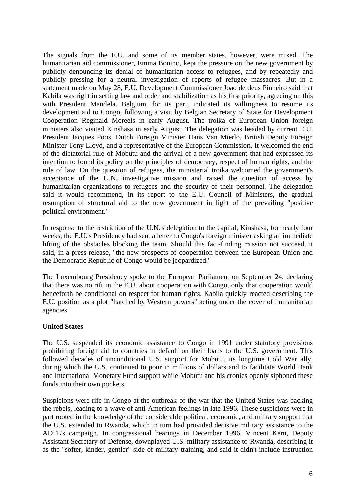The signals from the E.U. and some of its member states, however, were mixed. The humanitarian aid commissioner, Emma Bonino, kept the pressure on the new government by publicly denouncing its denial of humanitarian access to refugees, and by repeatedly and publicly pressing for a neutral investigation of reports of refugee massacres. But in a statement made on May 28, E.U. Development Commissioner Joao de deus Pinheiro said that Kabila was right in setting law and order and stabilization as his first priority, agreeing on this with President Mandela. Belgium, for its part, indicated its willingness to resume its development aid to Congo, following a visit by Belgian Secretary of State for Development Cooperation Reginald Moreels in early August. The troika of European Union foreign ministers also visited Kinshasa in early August. The delegation was headed by current E.U. President Jacques Poos, Dutch Foreign Minister Hans Van Mierlo, British Deputy Foreign Minister Tony Lloyd, and a representative of the European Commission. It welcomed the end of the dictatorial rule of Mobutu and the arrival of a new government that had expressed its intention to found its policy on the principles of democracy, respect of human rights, and the rule of law. On the question of refugees, the ministerial troika welcomed the government's acceptance of the U.N. investigative mission and raised the question of access by humanitarian organizations to refugees and the security of their personnel. The delegation said it would recommend, in its report to the E.U. Council of Ministers, the gradual resumption of structural aid to the new government in light of the prevailing "positive political environment."

In response to the restriction of the U.N.'s delegation to the capital, Kinshasa, for nearly four weeks, the E.U.'s Presidency had sent a letter to Congo's foreign minister asking an immediate lifting of the obstacles blocking the team. Should this fact-finding mission not succeed, it said, in a press release, "the new prospects of cooperation between the European Union and the Democratic Republic of Congo would be jeopardized."

The Luxembourg Presidency spoke to the European Parliament on September 24, declaring that there was no rift in the E.U. about cooperation with Congo, only that cooperation would henceforth be conditional on respect for human rights. Kabila quickly reacted describing the E.U. position as a plot "hatched by Western powers" acting under the cover of humanitarian agencies.

## **United States**

The U.S. suspended its economic assistance to Congo in 1991 under statutory provisions prohibiting foreign aid to countries in default on their loans to the U.S. government. This followed decades of unconditional U.S. support for Mobutu, its longtime Cold War ally, during which the U.S. continued to pour in millions of dollars and to facilitate World Bank and International Monetary Fund support while Mobutu and his cronies openly siphoned these funds into their own pockets.

Suspicions were rife in Congo at the outbreak of the war that the United States was backing the rebels, leading to a wave of anti-American feelings in late 1996. These suspicions were in part rooted in the knowledge of the considerable political, economic, and military support that the U.S. extended to Rwanda, which in turn had provided decisive military assistance to the ADFL's campaign. In congressional hearings in December 1996, Vincent Kern, Deputy Assistant Secretary of Defense, downplayed U.S. military assistance to Rwanda, describing it as the "softer, kinder, gentler" side of military training, and said it didn't include instruction